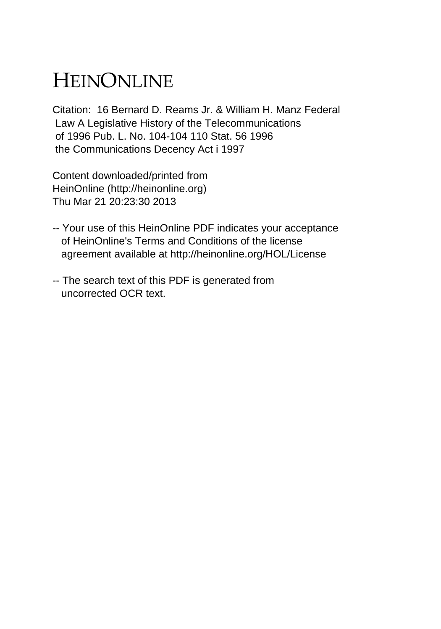## HEINONLINE

Citation: 16 Bernard D. Reams Jr. & William H. Manz Federal Law A Legislative History of the Telecommunications of 1996 Pub. L. No. 104-104 110 Stat. 56 1996 the Communications Decency Act i 1997

Content downloaded/printed from HeinOnline (http://heinonline.org) Thu Mar 21 20:23:30 2013

- -- Your use of this HeinOnline PDF indicates your acceptance of HeinOnline's Terms and Conditions of the license agreement available at http://heinonline.org/HOL/License
- -- The search text of this PDF is generated from uncorrected OCR text.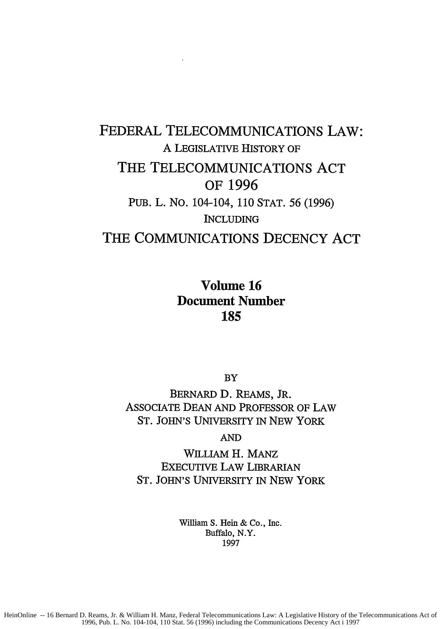## FEDERAL TELECOMMUNICATIONS LAW: A LEGISLATIVE HISTORY OF THE **TELECOMMUNICATIONS ACT** OF **1996** PUB. L. NO. 104-104, 110 STAT. 56 (1996) INCLUDING THE **COMMUNICATIONS DECENCY ACT**

Volume **16** Document Number **185**

BY

BERNARD **D.** REAMS, JR. ASSOCIATE DEAN AND PROFESSOR OF LAW ST. JOHN'S UNIVERSITY IN NEW YORK

AND

WILLIAM H. MANz EXECUTIVE LAW LIBRARIAN ST. JOHN'S UNIVERSITY IN NEW YORK

> William S. Hein & Co., Inc. Buffalo, N.Y. 1997